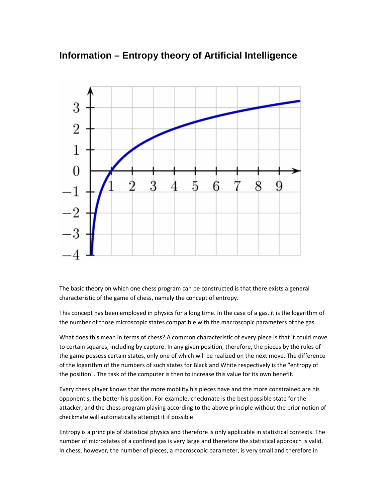## **Information – Entropy theory of Artificial Intelligence**



The basic theory on which one chess program can be constructed is that there exists a general characteristic of the game of chess, namely the concept of entropy.

This concept has been employed in physics for a long time. In the case of a gas, it is the logarithm of the number of those microscopic states compatible with the macroscopic parameters of the gas.

What does this mean in terms of chess? A common characteristic of every piece is that it could move to certain squares, including by capture. In any given position, therefore, the pieces by the rules of the game possess certain states, only one of which will be realized on the next move. The difference of the logarithm of the numbers of such states for Black and White respectively is the "entropy of the position". The task of the computer is then to increase this value for its own benefit.

Every chess player knows that the more mobility his pieces have and the more constrained are his opponent's, the better his position. For example, checkmate is the best possible state for the attacker, and the chess program playing according to the above principle without the prior notion of checkmate will automatically attempt it if possible.

Entropy is a principle of statistical physics and therefore is only applicable in statistical contexts. The number of microstates of a confined gas is very large and therefore the statistical approach is valid. In chess, however, the number of pieces, a macroscopic parameter, is very small and therefore in